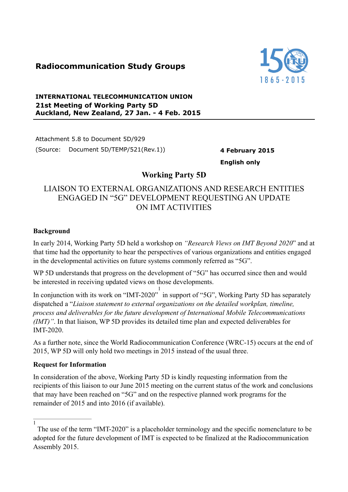# **Radiocommunication Study Groups**



### **INTERNATIONAL TELECOMMUNICATION UNION 21st Meeting of Working Party 5D Auckland, New Zealand, 27 Jan. - 4 Feb. 2015**

Attachment 5.8 to Document 5D/929 (Source: Document 5D/TEMP/521(Rev.1)) **4 February 2015**

**English only**

## **Working Party 5D**

## LIAISON TO EXTERNAL ORGANIZATIONS AND RESEARCH ENTITIES ENGAGED IN "5G" DEVELOPMENT REQUESTING AN UPDATE ON IMT ACTIVITIES

### **Background**

In early 2014, Working Party 5D held a workshop on *"Research Views on IMT Beyond 2020*" and at that time had the opportunity to hear the perspectives of various organizations and entities engaged in the developmental activities on future systems commonly referred as "5G".

WP 5D understands that progress on the development of "5G" has occurred since then and would be interested in receiving updated views on those developments.

In conjunction with its work on "IMT-2020" in support of "5G", Working Party 5D has separately 1 dispatched a "*Liaison statement to external organizations on the detailed workplan, timeline, process and deliverables for the future development of International Mobile Telecommunications (IMT)"*. In that liaison, WP 5D provides its detailed time plan and expected deliverables for IMT-2020.

As a further note, since the World Radiocommunication Conference (WRC-15) occurs at the end of 2015, WP 5D will only hold two meetings in 2015 instead of the usual three.

#### **Request for Information**

In consideration of the above, Working Party 5D is kindly requesting information from the recipients of this liaison to our June 2015 meeting on the current status of the work and conclusions that may have been reached on "5G" and on the respective planned work programs for the remainder of 2015 and into 2016 (if available).

 $\overline{1}$ 

The use of the term "IMT-2020" is a placeholder terminology and the specific nomenclature to be adopted for the future development of IMT is expected to be finalized at the Radiocommunication Assembly 2015.